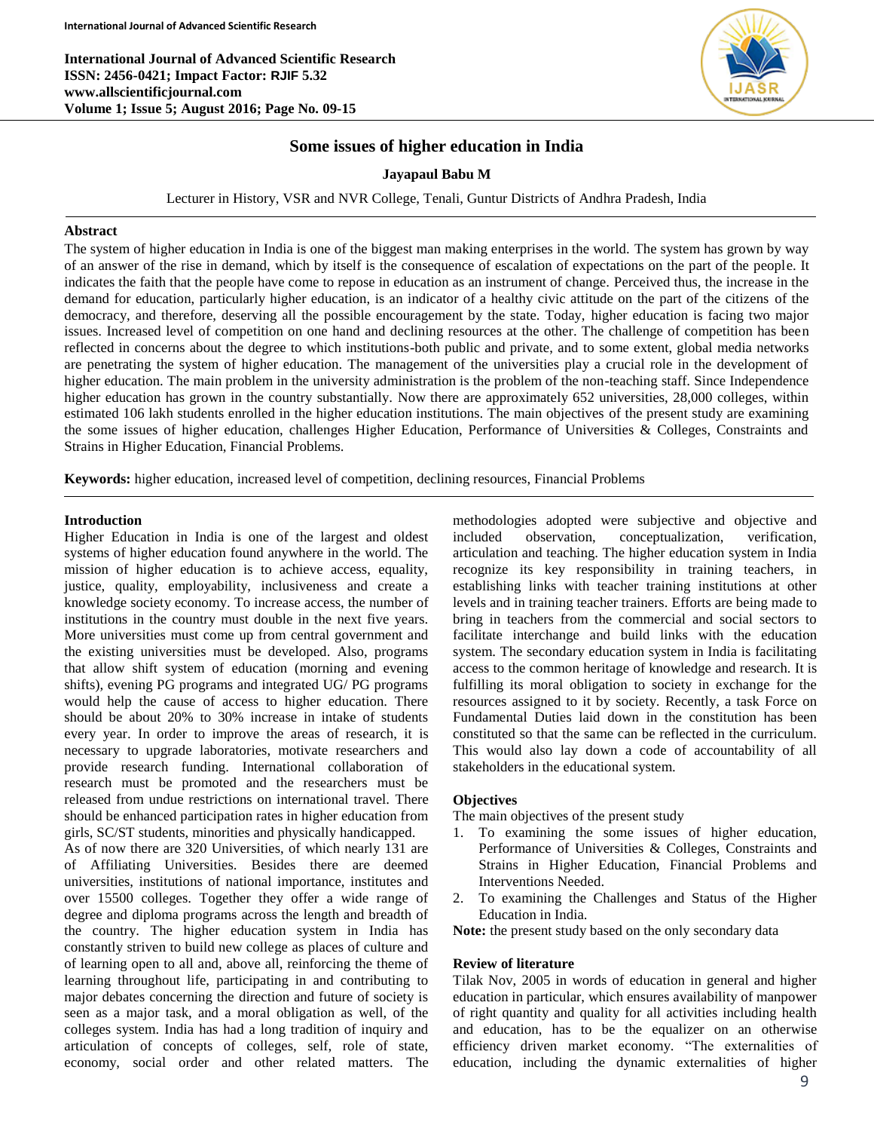**International Journal of Advanced Scientific Research ISSN: 2456-0421; Impact Factor: RJIF 5.32 www.allscientificjournal.com Volume 1; Issue 5; August 2016; Page No. 09-15**



# **Some issues of higher education in India**

## **Jayapaul Babu M**

Lecturer in History, VSR and NVR College, Tenali, Guntur Districts of Andhra Pradesh, India

### **Abstract**

The system of higher education in India is one of the biggest man making enterprises in the world. The system has grown by way of an answer of the rise in demand, which by itself is the consequence of escalation of expectations on the part of the people. It indicates the faith that the people have come to repose in education as an instrument of change. Perceived thus, the increase in the demand for education, particularly higher education, is an indicator of a healthy civic attitude on the part of the citizens of the democracy, and therefore, deserving all the possible encouragement by the state. Today, higher education is facing two major issues. Increased level of competition on one hand and declining resources at the other. The challenge of competition has been reflected in concerns about the degree to which institutions-both public and private, and to some extent, global media networks are penetrating the system of higher education. The management of the universities play a crucial role in the development of higher education. The main problem in the university administration is the problem of the non-teaching staff. Since Independence higher education has grown in the country substantially. Now there are approximately 652 universities, 28,000 colleges, within estimated 106 lakh students enrolled in the higher education institutions. The main objectives of the present study are examining the some issues of higher education, challenges Higher Education, Performance of Universities & Colleges, Constraints and Strains in Higher Education, Financial Problems.

**Keywords:** higher education, increased level of competition, declining resources, Financial Problems

### **Introduction**

Higher Education in India is one of the largest and oldest systems of higher education found anywhere in the world. The mission of higher education is to achieve access, equality, justice, quality, employability, inclusiveness and create a knowledge society economy. To increase access, the number of institutions in the country must double in the next five years. More universities must come up from central government and the existing universities must be developed. Also, programs that allow shift system of education (morning and evening shifts), evening PG programs and integrated UG/ PG programs would help the cause of access to higher education. There should be about 20% to 30% increase in intake of students every year. In order to improve the areas of research, it is necessary to upgrade laboratories, motivate researchers and provide research funding. International collaboration of research must be promoted and the researchers must be released from undue restrictions on international travel. There should be enhanced participation rates in higher education from girls, SC/ST students, minorities and physically handicapped.

As of now there are 320 Universities, of which nearly 131 are of Affiliating Universities. Besides there are deemed universities, institutions of national importance, institutes and over 15500 colleges. Together they offer a wide range of degree and diploma programs across the length and breadth of the country. The higher education system in India has constantly striven to build new college as places of culture and of learning open to all and, above all, reinforcing the theme of learning throughout life, participating in and contributing to major debates concerning the direction and future of society is seen as a major task, and a moral obligation as well, of the colleges system. India has had a long tradition of inquiry and articulation of concepts of colleges, self, role of state, economy, social order and other related matters. The

methodologies adopted were subjective and objective and included observation, conceptualization, verification, articulation and teaching. The higher education system in India recognize its key responsibility in training teachers, in establishing links with teacher training institutions at other levels and in training teacher trainers. Efforts are being made to bring in teachers from the commercial and social sectors to facilitate interchange and build links with the education system. The secondary education system in India is facilitating access to the common heritage of knowledge and research. It is fulfilling its moral obligation to society in exchange for the resources assigned to it by society. Recently, a task Force on Fundamental Duties laid down in the constitution has been constituted so that the same can be reflected in the curriculum. This would also lay down a code of accountability of all stakeholders in the educational system.

## **Objectives**

The main objectives of the present study

- 1. To examining the some issues of higher education, Performance of Universities & Colleges, Constraints and Strains in Higher Education, Financial Problems and Interventions Needed.
- 2. To examining the Challenges and Status of the Higher Education in India.

**Note:** the present study based on the only secondary data

#### **Review of literature**

Tilak Nov, 2005 in words of education in general and higher education in particular, which ensures availability of manpower of right quantity and quality for all activities including health and education, has to be the equalizer on an otherwise efficiency driven market economy. "The externalities of education, including the dynamic externalities of higher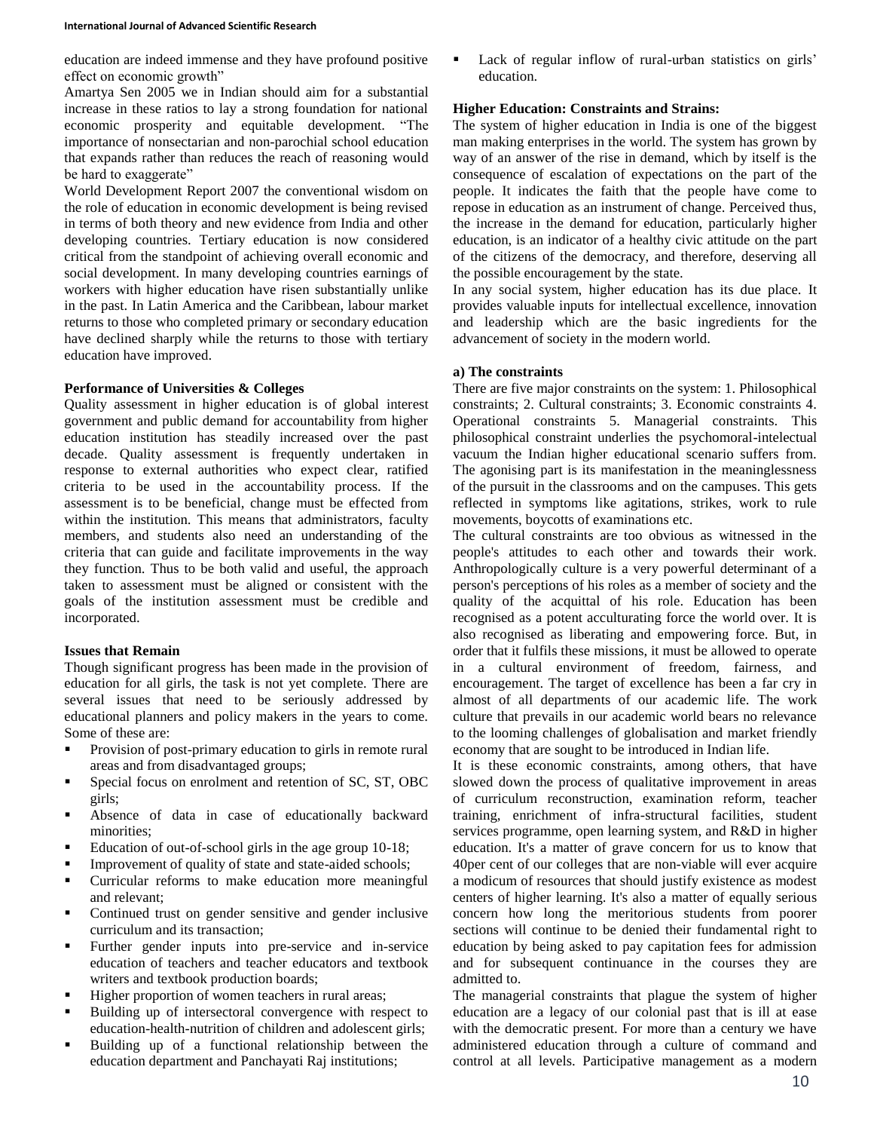#### **International Journal of Advanced Scientific Research**

education are indeed immense and they have profound positive effect on economic growth"

Amartya Sen 2005 we in Indian should aim for a substantial increase in these ratios to lay a strong foundation for national economic prosperity and equitable development. "The importance of nonsectarian and non-parochial school education that expands rather than reduces the reach of reasoning would be hard to exaggerate"

World Development Report 2007 the conventional wisdom on the role of education in economic development is being revised in terms of both theory and new evidence from India and other developing countries. Tertiary education is now considered critical from the standpoint of achieving overall economic and social development. In many developing countries earnings of workers with higher education have risen substantially unlike in the past. In Latin America and the Caribbean, labour market returns to those who completed primary or secondary education have declined sharply while the returns to those with tertiary education have improved.

### **Performance of Universities & Colleges**

Quality assessment in higher education is of global interest government and public demand for accountability from higher education institution has steadily increased over the past decade. Quality assessment is frequently undertaken in response to external authorities who expect clear, ratified criteria to be used in the accountability process. If the assessment is to be beneficial, change must be effected from within the institution. This means that administrators, faculty members, and students also need an understanding of the criteria that can guide and facilitate improvements in the way they function. Thus to be both valid and useful, the approach taken to assessment must be aligned or consistent with the goals of the institution assessment must be credible and incorporated.

## **Issues that Remain**

Though significant progress has been made in the provision of education for all girls, the task is not yet complete. There are several issues that need to be seriously addressed by educational planners and policy makers in the years to come. Some of these are:

- **Provision of post-primary education to girls in remote rural** areas and from disadvantaged groups;
- **Special focus on enrolment and retention of SC, ST, OBC** girls;
- Absence of data in case of educationally backward minorities;
- Education of out-of-school girls in the age group 10-18;
- Improvement of quality of state and state-aided schools;
- Curricular reforms to make education more meaningful and relevant;
- Continued trust on gender sensitive and gender inclusive curriculum and its transaction;
- Further gender inputs into pre-service and in-service education of teachers and teacher educators and textbook writers and textbook production boards;
- Higher proportion of women teachers in rural areas;
- Building up of intersectoral convergence with respect to education-health-nutrition of children and adolescent girls;
- Building up of a functional relationship between the education department and Panchayati Raj institutions;

 Lack of regular inflow of rural-urban statistics on girls' education.

## **Higher Education: Constraints and Strains:**

The system of higher education in India is one of the biggest man making enterprises in the world. The system has grown by way of an answer of the rise in demand, which by itself is the consequence of escalation of expectations on the part of the people. It indicates the faith that the people have come to repose in education as an instrument of change. Perceived thus, the increase in the demand for education, particularly higher education, is an indicator of a healthy civic attitude on the part of the citizens of the democracy, and therefore, deserving all the possible encouragement by the state.

In any social system, higher education has its due place. It provides valuable inputs for intellectual excellence, innovation and leadership which are the basic ingredients for the advancement of society in the modern world.

### **a) The constraints**

There are five major constraints on the system: 1. Philosophical constraints; 2. Cultural constraints; 3. Economic constraints 4. Operational constraints 5. Managerial constraints. This philosophical constraint underlies the psychomoral-intelectual vacuum the Indian higher educational scenario suffers from. The agonising part is its manifestation in the meaninglessness of the pursuit in the classrooms and on the campuses. This gets reflected in symptoms like agitations, strikes, work to rule movements, boycotts of examinations etc.

The cultural constraints are too obvious as witnessed in the people's attitudes to each other and towards their work. Anthropologically culture is a very powerful determinant of a person's perceptions of his roles as a member of society and the quality of the acquittal of his role. Education has been recognised as a potent acculturating force the world over. It is also recognised as liberating and empowering force. But, in order that it fulfils these missions, it must be allowed to operate in a cultural environment of freedom, fairness, and encouragement. The target of excellence has been a far cry in almost of all departments of our academic life. The work culture that prevails in our academic world bears no relevance to the looming challenges of globalisation and market friendly economy that are sought to be introduced in Indian life.

It is these economic constraints, among others, that have slowed down the process of qualitative improvement in areas of curriculum reconstruction, examination reform, teacher training, enrichment of infra-structural facilities, student services programme, open learning system, and R&D in higher education. It's a matter of grave concern for us to know that 40per cent of our colleges that are non-viable will ever acquire a modicum of resources that should justify existence as modest centers of higher learning. It's also a matter of equally serious concern how long the meritorious students from poorer sections will continue to be denied their fundamental right to education by being asked to pay capitation fees for admission and for subsequent continuance in the courses they are admitted to.

The managerial constraints that plague the system of higher education are a legacy of our colonial past that is ill at ease with the democratic present. For more than a century we have administered education through a culture of command and control at all levels. Participative management as a modern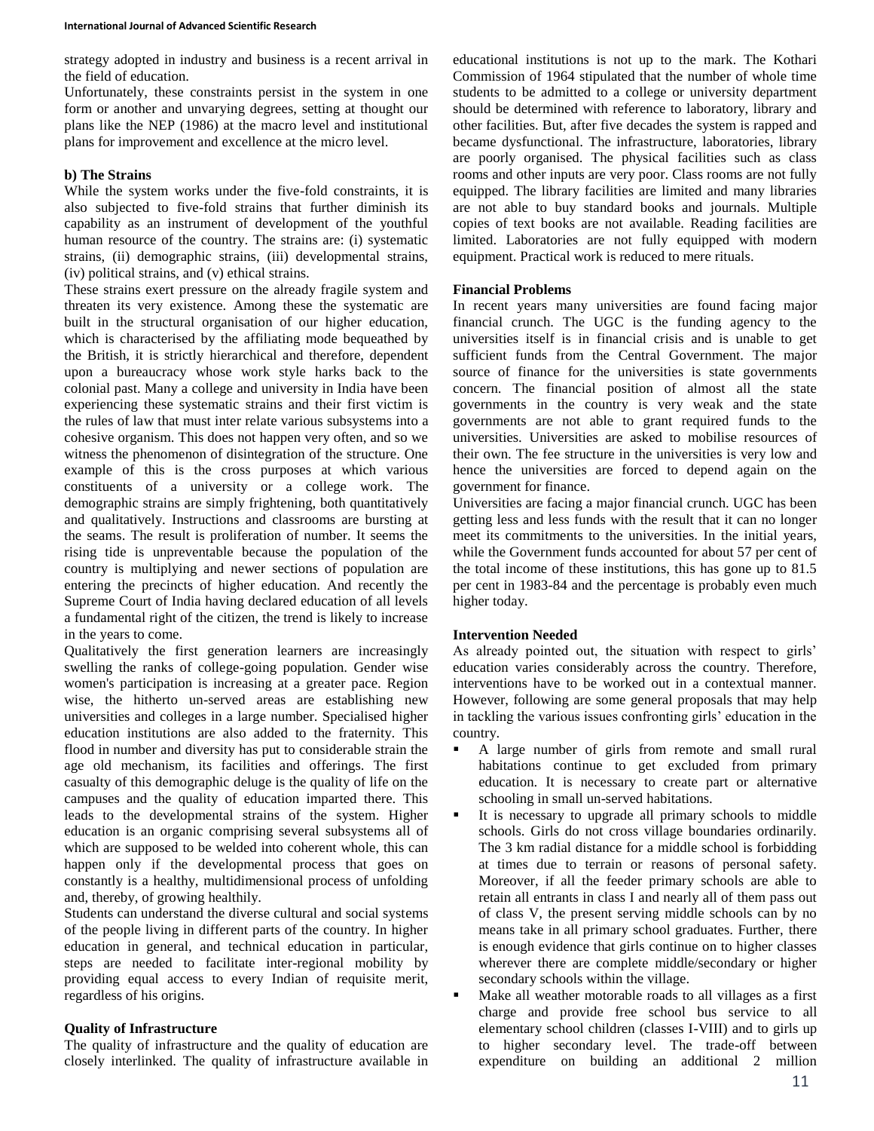strategy adopted in industry and business is a recent arrival in the field of education.

Unfortunately, these constraints persist in the system in one form or another and unvarying degrees, setting at thought our plans like the NEP (1986) at the macro level and institutional plans for improvement and excellence at the micro level.

### **b) The Strains**

While the system works under the five-fold constraints, it is also subjected to five-fold strains that further diminish its capability as an instrument of development of the youthful human resource of the country. The strains are: (i) systematic strains, (ii) demographic strains, (iii) developmental strains, (iv) political strains, and (v) ethical strains.

These strains exert pressure on the already fragile system and threaten its very existence. Among these the systematic are built in the structural organisation of our higher education, which is characterised by the affiliating mode bequeathed by the British, it is strictly hierarchical and therefore, dependent upon a bureaucracy whose work style harks back to the colonial past. Many a college and university in India have been experiencing these systematic strains and their first victim is the rules of law that must inter relate various subsystems into a cohesive organism. This does not happen very often, and so we witness the phenomenon of disintegration of the structure. One example of this is the cross purposes at which various constituents of a university or a college work. The demographic strains are simply frightening, both quantitatively and qualitatively. Instructions and classrooms are bursting at the seams. The result is proliferation of number. It seems the rising tide is unpreventable because the population of the country is multiplying and newer sections of population are entering the precincts of higher education. And recently the Supreme Court of India having declared education of all levels a fundamental right of the citizen, the trend is likely to increase in the years to come.

Qualitatively the first generation learners are increasingly swelling the ranks of college-going population. Gender wise women's participation is increasing at a greater pace. Region wise, the hitherto un-served areas are establishing new universities and colleges in a large number. Specialised higher education institutions are also added to the fraternity. This flood in number and diversity has put to considerable strain the age old mechanism, its facilities and offerings. The first casualty of this demographic deluge is the quality of life on the campuses and the quality of education imparted there. This leads to the developmental strains of the system. Higher education is an organic comprising several subsystems all of which are supposed to be welded into coherent whole, this can happen only if the developmental process that goes on constantly is a healthy, multidimensional process of unfolding and, thereby, of growing healthily.

Students can understand the diverse cultural and social systems of the people living in different parts of the country. In higher education in general, and technical education in particular, steps are needed to facilitate inter-regional mobility by providing equal access to every Indian of requisite merit, regardless of his origins.

## **Quality of Infrastructure**

The quality of infrastructure and the quality of education are closely interlinked. The quality of infrastructure available in

educational institutions is not up to the mark. The Kothari Commission of 1964 stipulated that the number of whole time students to be admitted to a college or university department should be determined with reference to laboratory, library and other facilities. But, after five decades the system is rapped and became dysfunctional. The infrastructure, laboratories, library are poorly organised. The physical facilities such as class rooms and other inputs are very poor. Class rooms are not fully equipped. The library facilities are limited and many libraries are not able to buy standard books and journals. Multiple copies of text books are not available. Reading facilities are limited. Laboratories are not fully equipped with modern equipment. Practical work is reduced to mere rituals.

## **Financial Problems**

In recent years many universities are found facing major financial crunch. The UGC is the funding agency to the universities itself is in financial crisis and is unable to get sufficient funds from the Central Government. The major source of finance for the universities is state governments concern. The financial position of almost all the state governments in the country is very weak and the state governments are not able to grant required funds to the universities. Universities are asked to mobilise resources of their own. The fee structure in the universities is very low and hence the universities are forced to depend again on the government for finance.

Universities are facing a major financial crunch. UGC has been getting less and less funds with the result that it can no longer meet its commitments to the universities. In the initial years, while the Government funds accounted for about 57 per cent of the total income of these institutions, this has gone up to 81.5 per cent in 1983-84 and the percentage is probably even much higher today.

## **Intervention Needed**

As already pointed out, the situation with respect to girls' education varies considerably across the country. Therefore, interventions have to be worked out in a contextual manner. However, following are some general proposals that may help in tackling the various issues confronting girls' education in the country.

- A large number of girls from remote and small rural habitations continue to get excluded from primary education. It is necessary to create part or alternative schooling in small un-served habitations.
- It is necessary to upgrade all primary schools to middle schools. Girls do not cross village boundaries ordinarily. The 3 km radial distance for a middle school is forbidding at times due to terrain or reasons of personal safety. Moreover, if all the feeder primary schools are able to retain all entrants in class I and nearly all of them pass out of class V, the present serving middle schools can by no means take in all primary school graduates. Further, there is enough evidence that girls continue on to higher classes wherever there are complete middle/secondary or higher secondary schools within the village.
- Make all weather motorable roads to all villages as a first charge and provide free school bus service to all elementary school children (classes I-VIII) and to girls up to higher secondary level. The trade-off between expenditure on building an additional 2 million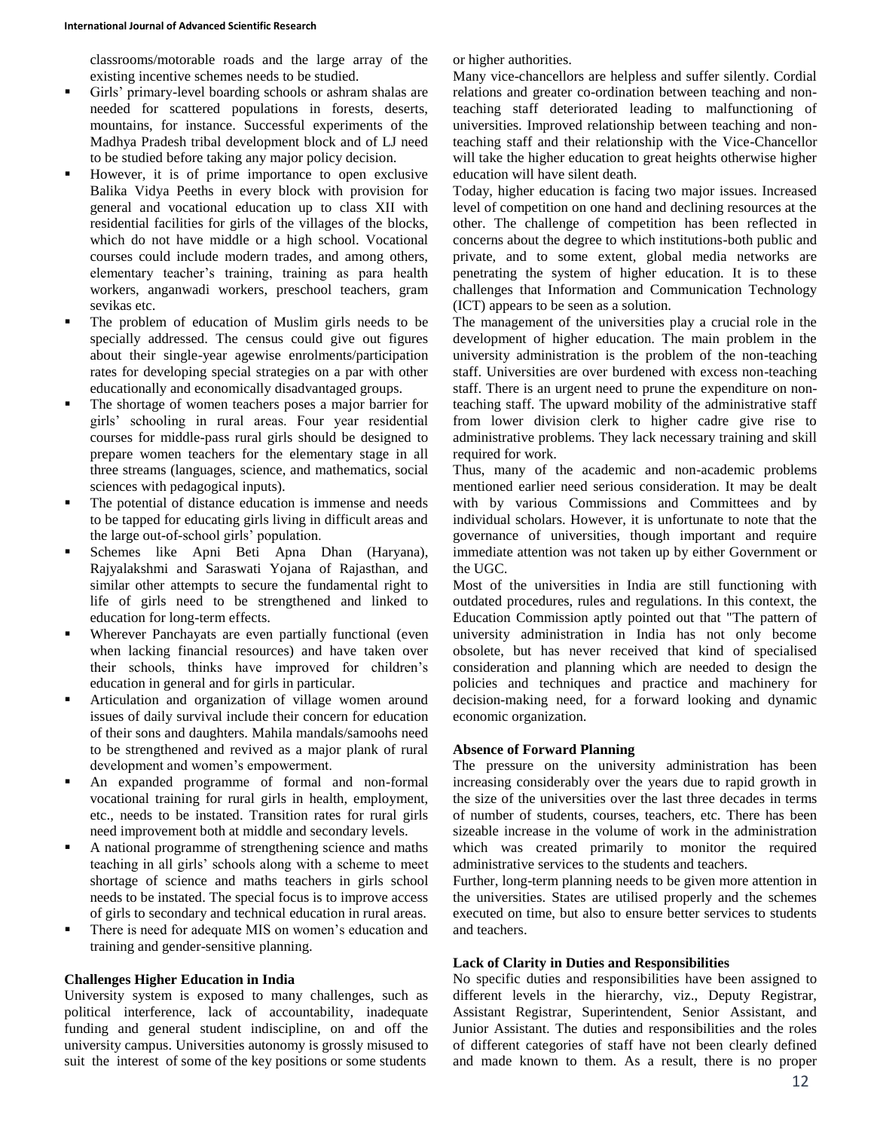classrooms/motorable roads and the large array of the existing incentive schemes needs to be studied.

- Girls' primary-level boarding schools or ashram shalas are needed for scattered populations in forests, deserts, mountains, for instance. Successful experiments of the Madhya Pradesh tribal development block and of LJ need to be studied before taking any major policy decision.
- However, it is of prime importance to open exclusive Balika Vidya Peeths in every block with provision for general and vocational education up to class XII with residential facilities for girls of the villages of the blocks, which do not have middle or a high school. Vocational courses could include modern trades, and among others, elementary teacher's training, training as para health workers, anganwadi workers, preschool teachers, gram sevikas etc.
- The problem of education of Muslim girls needs to be specially addressed. The census could give out figures about their single-year agewise enrolments/participation rates for developing special strategies on a par with other educationally and economically disadvantaged groups.
- The shortage of women teachers poses a major barrier for girls' schooling in rural areas. Four year residential courses for middle-pass rural girls should be designed to prepare women teachers for the elementary stage in all three streams (languages, science, and mathematics, social sciences with pedagogical inputs).
- The potential of distance education is immense and needs to be tapped for educating girls living in difficult areas and the large out-of-school girls' population.
- Schemes like Apni Beti Apna Dhan (Haryana), Rajyalakshmi and Saraswati Yojana of Rajasthan, and similar other attempts to secure the fundamental right to life of girls need to be strengthened and linked to education for long-term effects.
- Wherever Panchayats are even partially functional (even when lacking financial resources) and have taken over their schools, thinks have improved for children's education in general and for girls in particular.
- Articulation and organization of village women around issues of daily survival include their concern for education of their sons and daughters. Mahila mandals/samoohs need to be strengthened and revived as a major plank of rural development and women's empowerment.
- An expanded programme of formal and non-formal vocational training for rural girls in health, employment, etc., needs to be instated. Transition rates for rural girls need improvement both at middle and secondary levels.
- A national programme of strengthening science and maths teaching in all girls' schools along with a scheme to meet shortage of science and maths teachers in girls school needs to be instated. The special focus is to improve access of girls to secondary and technical education in rural areas.
- There is need for adequate MIS on women's education and training and gender-sensitive planning.

#### **Challenges Higher Education in India**

University system is exposed to many challenges, such as political interference, lack of accountability, inadequate funding and general student indiscipline, on and off the university campus. Universities autonomy is grossly misused to suit the interest of some of the key positions or some students

or higher authorities.

Many vice-chancellors are helpless and suffer silently. Cordial relations and greater co-ordination between teaching and nonteaching staff deteriorated leading to malfunctioning of universities. Improved relationship between teaching and nonteaching staff and their relationship with the Vice-Chancellor will take the higher education to great heights otherwise higher education will have silent death.

Today, higher education is facing two major issues. Increased level of competition on one hand and declining resources at the other. The challenge of competition has been reflected in concerns about the degree to which institutions-both public and private, and to some extent, global media networks are penetrating the system of higher education. It is to these challenges that Information and Communication Technology (ICT) appears to be seen as a solution.

The management of the universities play a crucial role in the development of higher education. The main problem in the university administration is the problem of the non-teaching staff. Universities are over burdened with excess non-teaching staff. There is an urgent need to prune the expenditure on nonteaching staff. The upward mobility of the administrative staff from lower division clerk to higher cadre give rise to administrative problems. They lack necessary training and skill required for work.

Thus, many of the academic and non-academic problems mentioned earlier need serious consideration. It may be dealt with by various Commissions and Committees and by individual scholars. However, it is unfortunate to note that the governance of universities, though important and require immediate attention was not taken up by either Government or the UGC.

Most of the universities in India are still functioning with outdated procedures, rules and regulations. In this context, the Education Commission aptly pointed out that "The pattern of university administration in India has not only become obsolete, but has never received that kind of specialised consideration and planning which are needed to design the policies and techniques and practice and machinery for decision-making need, for a forward looking and dynamic economic organization.

#### **Absence of Forward Planning**

The pressure on the university administration has been increasing considerably over the years due to rapid growth in the size of the universities over the last three decades in terms of number of students, courses, teachers, etc. There has been sizeable increase in the volume of work in the administration which was created primarily to monitor the required administrative services to the students and teachers.

Further, long-term planning needs to be given more attention in the universities. States are utilised properly and the schemes executed on time, but also to ensure better services to students and teachers.

### **Lack of Clarity in Duties and Responsibilities**

No specific duties and responsibilities have been assigned to different levels in the hierarchy, viz., Deputy Registrar, Assistant Registrar, Superintendent, Senior Assistant, and Junior Assistant. The duties and responsibilities and the roles of different categories of staff have not been clearly defined and made known to them. As a result, there is no proper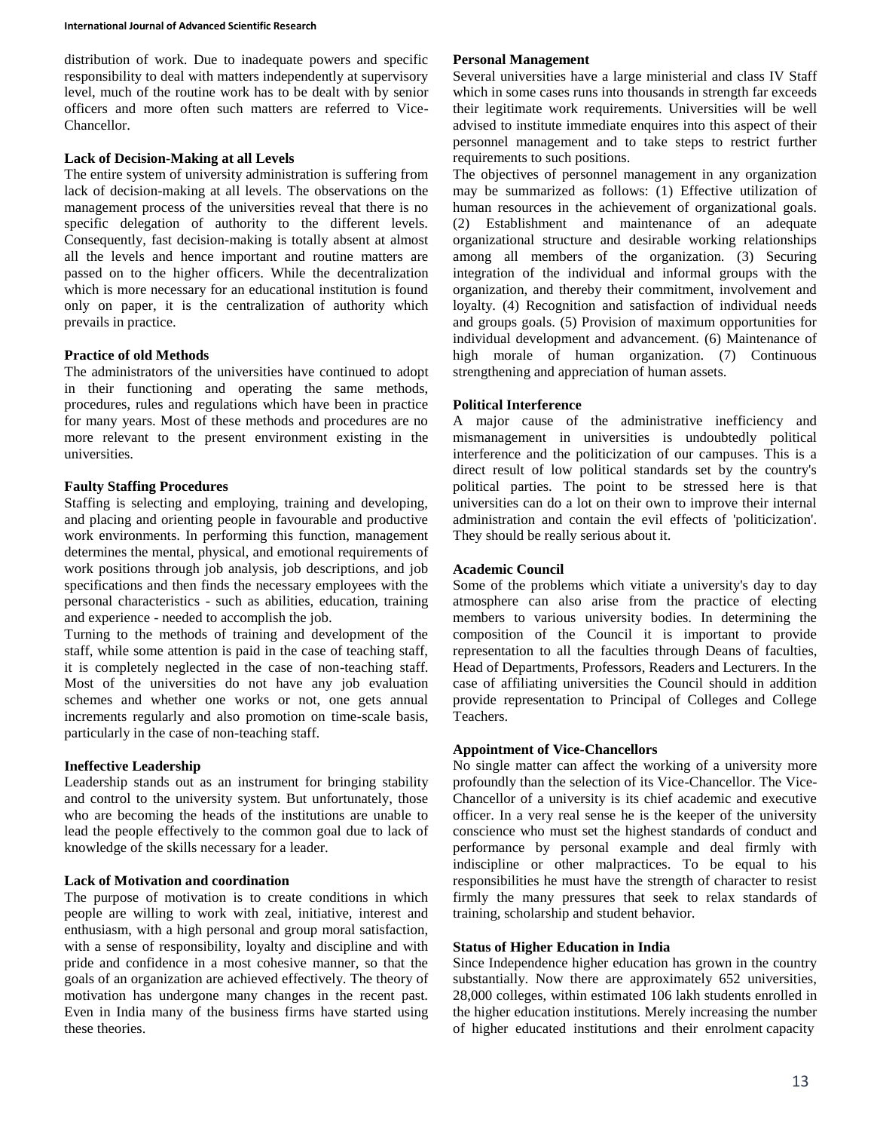distribution of work. Due to inadequate powers and specific responsibility to deal with matters independently at supervisory level, much of the routine work has to be dealt with by senior officers and more often such matters are referred to Vice-Chancellor.

### **Lack of Decision-Making at all Levels**

The entire system of university administration is suffering from lack of decision-making at all levels. The observations on the management process of the universities reveal that there is no specific delegation of authority to the different levels. Consequently, fast decision-making is totally absent at almost all the levels and hence important and routine matters are passed on to the higher officers. While the decentralization which is more necessary for an educational institution is found only on paper, it is the centralization of authority which prevails in practice.

## **Practice of old Methods**

The administrators of the universities have continued to adopt in their functioning and operating the same methods, procedures, rules and regulations which have been in practice for many years. Most of these methods and procedures are no more relevant to the present environment existing in the universities.

## **Faulty Staffing Procedures**

Staffing is selecting and employing, training and developing, and placing and orienting people in favourable and productive work environments. In performing this function, management determines the mental, physical, and emotional requirements of work positions through job analysis, job descriptions, and job specifications and then finds the necessary employees with the personal characteristics - such as abilities, education, training and experience - needed to accomplish the job.

Turning to the methods of training and development of the staff, while some attention is paid in the case of teaching staff, it is completely neglected in the case of non-teaching staff. Most of the universities do not have any job evaluation schemes and whether one works or not, one gets annual increments regularly and also promotion on time-scale basis, particularly in the case of non-teaching staff.

## **Ineffective Leadership**

Leadership stands out as an instrument for bringing stability and control to the university system. But unfortunately, those who are becoming the heads of the institutions are unable to lead the people effectively to the common goal due to lack of knowledge of the skills necessary for a leader.

## **Lack of Motivation and coordination**

The purpose of motivation is to create conditions in which people are willing to work with zeal, initiative, interest and enthusiasm, with a high personal and group moral satisfaction, with a sense of responsibility, loyalty and discipline and with pride and confidence in a most cohesive manner, so that the goals of an organization are achieved effectively. The theory of motivation has undergone many changes in the recent past. Even in India many of the business firms have started using these theories.

## **Personal Management**

Several universities have a large ministerial and class IV Staff which in some cases runs into thousands in strength far exceeds their legitimate work requirements. Universities will be well advised to institute immediate enquires into this aspect of their personnel management and to take steps to restrict further requirements to such positions.

The objectives of personnel management in any organization may be summarized as follows: (1) Effective utilization of human resources in the achievement of organizational goals. (2) Establishment and maintenance of an adequate organizational structure and desirable working relationships among all members of the organization. (3) Securing integration of the individual and informal groups with the organization, and thereby their commitment, involvement and loyalty. (4) Recognition and satisfaction of individual needs and groups goals. (5) Provision of maximum opportunities for individual development and advancement. (6) Maintenance of high morale of human organization. (7) Continuous strengthening and appreciation of human assets.

### **Political Interference**

A major cause of the administrative inefficiency and mismanagement in universities is undoubtedly political interference and the politicization of our campuses. This is a direct result of low political standards set by the country's political parties. The point to be stressed here is that universities can do a lot on their own to improve their internal administration and contain the evil effects of 'politicization'. They should be really serious about it.

### **Academic Council**

Some of the problems which vitiate a university's day to day atmosphere can also arise from the practice of electing members to various university bodies. In determining the composition of the Council it is important to provide representation to all the faculties through Deans of faculties, Head of Departments, Professors, Readers and Lecturers. In the case of affiliating universities the Council should in addition provide representation to Principal of Colleges and College Teachers.

## **Appointment of Vice-Chancellors**

No single matter can affect the working of a university more profoundly than the selection of its Vice-Chancellor. The Vice-Chancellor of a university is its chief academic and executive officer. In a very real sense he is the keeper of the university conscience who must set the highest standards of conduct and performance by personal example and deal firmly with indiscipline or other malpractices. To be equal to his responsibilities he must have the strength of character to resist firmly the many pressures that seek to relax standards of training, scholarship and student behavior.

#### **Status of Higher Education in India**

Since Independence higher education has grown in the country substantially. Now there are approximately 652 universities, 28,000 colleges, within estimated 106 lakh students enrolled in the higher education institutions. Merely increasing the number of higher educated institutions and their enrolment capacity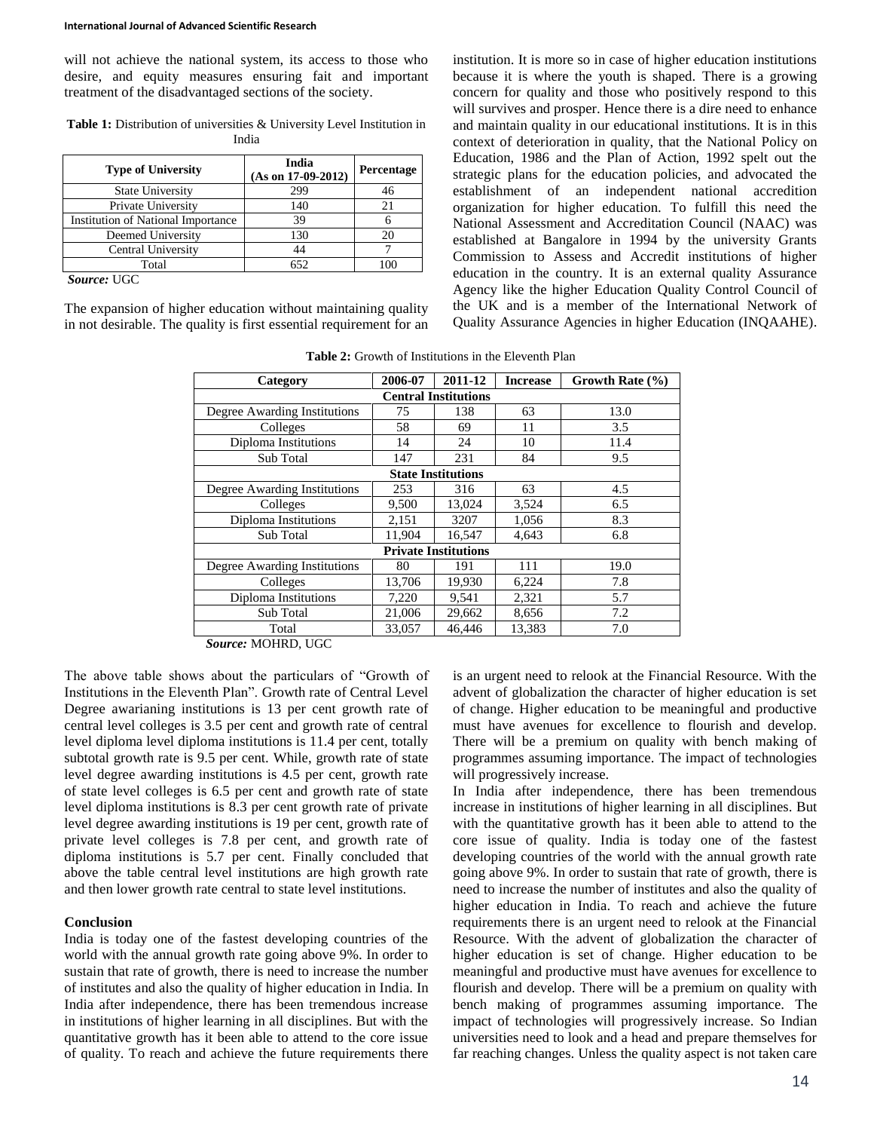will not achieve the national system, its access to those who desire, and equity measures ensuring fait and important treatment of the disadvantaged sections of the society.

Table 1: Distribution of universities & University Level Institution in India

| <b>Type of University</b>                 | India<br>$(As on 17-09-2012)$ | <b>Percentage</b> |
|-------------------------------------------|-------------------------------|-------------------|
| <b>State University</b>                   | 299                           | 46                |
| Private University                        | 140                           | 21                |
| <b>Institution of National Importance</b> | 39                            |                   |
| Deemed University                         | 130                           |                   |
| Central University                        | 44                            |                   |
| Total                                     | 652                           | $\alpha$          |
| $C_{\text{max}}$ . II $C$ $C$             |                               |                   |

*Source:* UGC

The expansion of higher education without maintaining quality in not desirable. The quality is first essential requirement for an institution. It is more so in case of higher education institutions because it is where the youth is shaped. There is a growing concern for quality and those who positively respond to this will survives and prosper. Hence there is a dire need to enhance and maintain quality in our educational institutions. It is in this context of deterioration in quality, that the National Policy on Education, 1986 and the Plan of Action, 1992 spelt out the strategic plans for the education policies, and advocated the establishment of an independent national accredition organization for higher education. To fulfill this need the National Assessment and Accreditation Council (NAAC) was established at Bangalore in 1994 by the university Grants Commission to Assess and Accredit institutions of higher education in the country. It is an external quality Assurance Agency like the higher Education Quality Control Council of the UK and is a member of the International Network of Quality Assurance Agencies in higher Education (INQAAHE).

**Table 2:** Growth of Institutions in the Eleventh Plan

| Category                     | 2006-07 | 2011-12 | <b>Increase</b> | Growth Rate $(\% )$ |  |
|------------------------------|---------|---------|-----------------|---------------------|--|
| <b>Central Institutions</b>  |         |         |                 |                     |  |
| Degree Awarding Institutions | 75      | 138     | 63              | 13.0                |  |
| Colleges                     | 58      | 69      | 11              | 3.5                 |  |
| Diploma Institutions         | 14      | 24      | 10              | 11.4                |  |
| Sub Total                    | 147     | 231     | 84              | 9.5                 |  |
| <b>State Institutions</b>    |         |         |                 |                     |  |
| Degree Awarding Institutions | 253     | 316     | 63              | 4.5                 |  |
| Colleges                     | 9,500   | 13,024  | 3,524           | 6.5                 |  |
| Diploma Institutions         | 2,151   | 3207    | 1,056           | 8.3                 |  |
| Sub Total                    | 11,904  | 16,547  | 4,643           | 6.8                 |  |
| <b>Private Institutions</b>  |         |         |                 |                     |  |
| Degree Awarding Institutions | 80      | 191     | 111             | 19.0                |  |
| Colleges                     | 13,706  | 19,930  | 6,224           | 7.8                 |  |
| Diploma Institutions         | 7,220   | 9,541   | 2,321           | 5.7                 |  |
| Sub Total                    | 21,006  | 29,662  | 8,656           | 7.2                 |  |
| Total                        | 33.057  | 46.446  | 13.383          | 7.0                 |  |

*Source:* MOHRD, UGC

The above table shows about the particulars of "Growth of Institutions in the Eleventh Plan". Growth rate of Central Level Degree awarianing institutions is 13 per cent growth rate of central level colleges is 3.5 per cent and growth rate of central level diploma level diploma institutions is 11.4 per cent, totally subtotal growth rate is 9.5 per cent. While, growth rate of state level degree awarding institutions is 4.5 per cent, growth rate of state level colleges is 6.5 per cent and growth rate of state level diploma institutions is 8.3 per cent growth rate of private level degree awarding institutions is 19 per cent, growth rate of private level colleges is 7.8 per cent, and growth rate of diploma institutions is 5.7 per cent. Finally concluded that above the table central level institutions are high growth rate and then lower growth rate central to state level institutions.

### **Conclusion**

India is today one of the fastest developing countries of the world with the annual growth rate going above 9%. In order to sustain that rate of growth, there is need to increase the number of institutes and also the quality of higher education in India. In India after independence, there has been tremendous increase in institutions of higher learning in all disciplines. But with the quantitative growth has it been able to attend to the core issue of quality. To reach and achieve the future requirements there is an urgent need to relook at the Financial Resource. With the advent of globalization the character of higher education is set of change. Higher education to be meaningful and productive must have avenues for excellence to flourish and develop. There will be a premium on quality with bench making of programmes assuming importance. The impact of technologies will progressively increase.

In India after independence, there has been tremendous increase in institutions of higher learning in all disciplines. But with the quantitative growth has it been able to attend to the core issue of quality. India is today one of the fastest developing countries of the world with the annual growth rate going above 9%. In order to sustain that rate of growth, there is need to increase the number of institutes and also the quality of higher education in India. To reach and achieve the future requirements there is an urgent need to relook at the Financial Resource. With the advent of globalization the character of higher education is set of change. Higher education to be meaningful and productive must have avenues for excellence to flourish and develop. There will be a premium on quality with bench making of programmes assuming importance. The impact of technologies will progressively increase. So Indian universities need to look and a head and prepare themselves for far reaching changes. Unless the quality aspect is not taken care